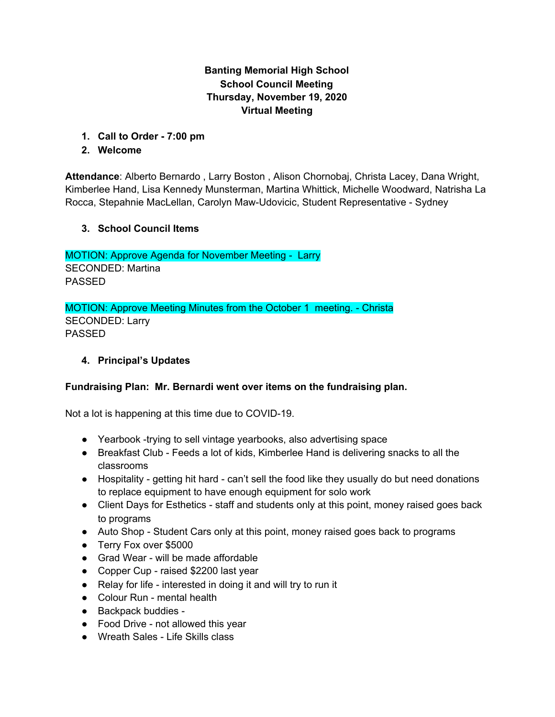# **Banting Memorial High School School Council Meeting Thursday, November 19, 2020 Virtual Meeting**

**1. Call to Order - 7:00 pm**

## **2. Welcome**

**Attendance**: Alberto Bernardo , Larry Boston , Alison Chornobaj, Christa Lacey, Dana Wright, Kimberlee Hand, Lisa Kennedy Munsterman, Martina Whittick, Michelle Woodward, Natrisha La Rocca, Stepahnie MacLellan, Carolyn Maw-Udovicic, Student Representative - Sydney

## **3. School Council Items**

MOTION: Approve Agenda for November Meeting - Larry SECONDED: Martina PASSED

MOTION: Approve Meeting Minutes from the October 1 meeting. - Christa SECONDED: Larry PASSED

# **4. Principal's Updates**

## **Fundraising Plan: Mr. Bernardi went over items on the fundraising plan.**

Not a lot is happening at this time due to COVID-19.

- Yearbook -trying to sell vintage yearbooks, also advertising space
- Breakfast Club Feeds a lot of kids, Kimberlee Hand is delivering snacks to all the classrooms
- Hospitality getting hit hard can't sell the food like they usually do but need donations to replace equipment to have enough equipment for solo work
- Client Days for Esthetics staff and students only at this point, money raised goes back to programs
- Auto Shop Student Cars only at this point, money raised goes back to programs
- Terry Fox over \$5000
- Grad Wear will be made affordable
- Copper Cup raised \$2200 last year
- Relay for life interested in doing it and will try to run it
- Colour Run mental health
- Backpack buddies -
- Food Drive not allowed this year
- Wreath Sales Life Skills class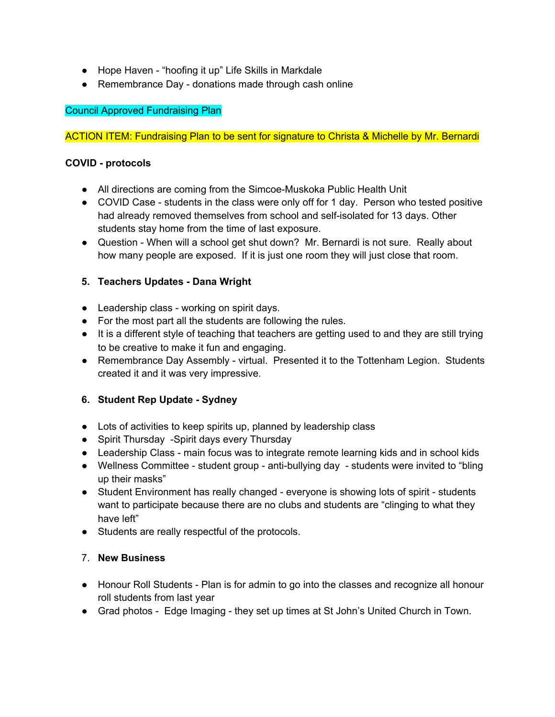- Hope Haven "hoofing it up" Life Skills in Markdale
- Remembrance Day donations made through cash online

## Council Approved Fundraising Plan

### ACTION ITEM: Fundraising Plan to be sent for signature to Christa & Michelle by Mr. Bernardi

### **COVID - protocols**

- All directions are coming from the Simcoe-Muskoka Public Health Unit
- COVID Case students in the class were only off for 1 day. Person who tested positive had already removed themselves from school and self-isolated for 13 days. Other students stay home from the time of last exposure.
- Question When will a school get shut down? Mr. Bernardi is not sure. Really about how many people are exposed. If it is just one room they will just close that room.

## **5. Teachers Updates - Dana Wright**

- Leadership class working on spirit days.
- For the most part all the students are following the rules.
- It is a different style of teaching that teachers are getting used to and they are still trying to be creative to make it fun and engaging.
- Remembrance Day Assembly virtual. Presented it to the Tottenham Legion. Students created it and it was very impressive.

## **6. Student Rep Update - Sydney**

- Lots of activities to keep spirits up, planned by leadership class
- Spirit Thursday -Spirit days every Thursday
- Leadership Class main focus was to integrate remote learning kids and in school kids
- Wellness Committee student group anti-bullying day students were invited to "bling up their masks"
- Student Environment has really changed everyone is showing lots of spirit students want to participate because there are no clubs and students are "clinging to what they have left"
- Students are really respectful of the protocols.

#### 7. **New Business**

- Honour Roll Students Plan is for admin to go into the classes and recognize all honour roll students from last year
- Grad photos Edge Imaging they set up times at St John's United Church in Town.